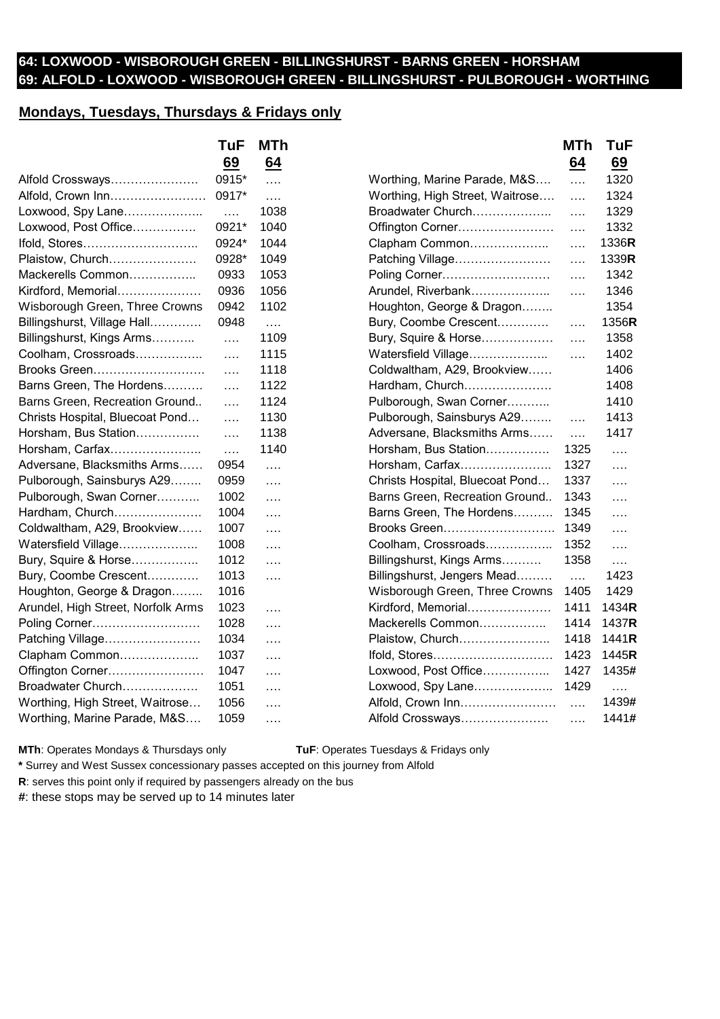## **64: LOXWOOD - WISBOROUGH GREEN - BILLINGSHURST - BARNS GREEN - HORSHAM 69: ALFOLD - LOXWOOD - WISBOROUGH GREEN - BILLINGSHURST - PULBOROUGH - WORTHING**

## **Mondays, Tuesdays, Thursdays & Fridays only**

|                                    | <b>TuF</b> | <b>MTh</b> |                                 | MTh             | <b>TuF</b> |
|------------------------------------|------------|------------|---------------------------------|-----------------|------------|
|                                    | 69         | 64         |                                 | 64              | 69         |
| Alfold Crossways                   | 0915*      | $\ldots$   | Worthing, Marine Parade, M&S    | $\cdots$        | 1320       |
| Alfold, Crown Inn                  | 0917*      | $\cdots$   | Worthing, High Street, Waitrose | .               | 1324       |
| Loxwood, Spy Lane                  | $\cdots$   | 1038       | Broadwater Church               | $\cdots$        | 1329       |
| Loxwood, Post Office               | 0921*      | 1040       | Offington Corner                | $\cdots$        | 1332       |
| Ifold, Stores                      | 0924*      | 1044       | Clapham Common                  | $\cdots$        | 1336R      |
| Plaistow, Church                   | 0928*      | 1049       | Patching Village                | $\cdots$        | 1339R      |
| Mackerells Common                  | 0933       | 1053       | Poling Corner                   | $\cdots$        | 1342       |
| Kirdford, Memorial                 | 0936       | 1056       | Arundel, Riverbank              | $\cdots$        | 1346       |
| Wisborough Green, Three Crowns     | 0942       | 1102       | Houghton, George & Dragon       |                 | 1354       |
| Billingshurst, Village Hall        | 0948       | $\cdots$   | Bury, Coombe Crescent           | $\cdots$        | 1356R      |
| Billingshurst, Kings Arms          | $\cdots$   | 1109       | Bury, Squire & Horse            | $\cdots$        | 1358       |
| Coolham, Crossroads                | $\ldots$   | 1115       | Watersfield Village             | $\ldots$        | 1402       |
| Brooks Green                       | $\ldots$   | 1118       | Coldwaltham, A29, Brookview     |                 | 1406       |
| Barns Green, The Hordens           | $\ldots$   | 1122       | Hardham, Church                 |                 | 1408       |
| Barns Green, Recreation Ground     | $\cdots$   | 1124       | Pulborough, Swan Corner         |                 | 1410       |
| Christs Hospital, Bluecoat Pond    | $\cdots$   | 1130       | Pulborough, Sainsburys A29      | $\cdots$        | 1413       |
| Horsham, Bus Station               | $\ldots$   | 1138       | Adversane, Blacksmiths Arms     | $\ldots$        | 1417       |
| Horsham, Carfax                    | $\cdots$   | 1140       | Horsham, Bus Station            | 1325            | $\cdots$   |
| Adversane, Blacksmiths Arms        | 0954       | $\ldots$   | Horsham, Carfax                 | 1327            | $\cdots$   |
| Pulborough, Sainsburys A29         | 0959       | $\cdots$   | Christs Hospital, Bluecoat Pond | 1337            | $\ldots$   |
| Pulborough, Swan Corner            | 1002       | $\cdots$   | Barns Green, Recreation Ground  | 1343            | $\ldots$   |
| Hardham, Church                    | 1004       | $\cdots$   | Barns Green, The Hordens        | 1345            | $\ldots$   |
| Coldwaltham, A29, Brookview        | 1007       | $\cdots$   | Brooks Green                    | 1349            | $\ldots$   |
| Watersfield Village                | 1008       | $\cdots$   | Coolham, Crossroads             | 1352            | $\ldots$   |
| Bury, Squire & Horse               | 1012       | $\cdots$   | Billingshurst, Kings Arms       | 1358            | $\cdots$   |
| Bury, Coombe Crescent              | 1013       | $\cdots$   | Billingshurst, Jengers Mead     | $\ldots$        | 1423       |
| Houghton, George & Dragon          | 1016       |            | Wisborough Green, Three Crowns  | 1405            | 1429       |
| Arundel, High Street, Norfolk Arms | 1023       | $\cdots$   | Kirdford, Memorial              | 1411            | 1434R      |
| Poling Corner                      | 1028       | $\cdots$   | Mackerells Common               | 1414            | 1437R      |
| Patching Village                   | 1034       | $\cdots$   | Plaistow, Church                | 1418            | 1441R      |
| Clapham Common                     | 1037       | $\cdots$   | Ifold, Stores                   | 1423            | 1445R      |
| Offington Corner                   | 1047       | $\cdots$   | Loxwood, Post Office            | 1427            | 1435#      |
| Broadwater Church                  | 1051       | $\cdots$   | Loxwood, Spy Lane               | 1429            | $\ldots$   |
| Worthing, High Street, Waitrose    | 1056       | $\cdots$   | Alfold, Crown Inn               | $\cdots$        | 1439#      |
| Worthing, Marine Parade, M&S       | 1059       | $\cdots$   | Alfold Crossways                | $\sim$ . $\sim$ | 1441#      |
|                                    |            |            |                                 |                 |            |

**MTh**: Operates Mondays & Thursdays only **TuF**: Operates Tuesdays & Fridays only

**\*** Surrey and West Sussex concessionary passes accepted on this journey from Alfold

**R**: serves this point only if required by passengers already on the bus

**#**: these stops may be served up to 14 minutes later